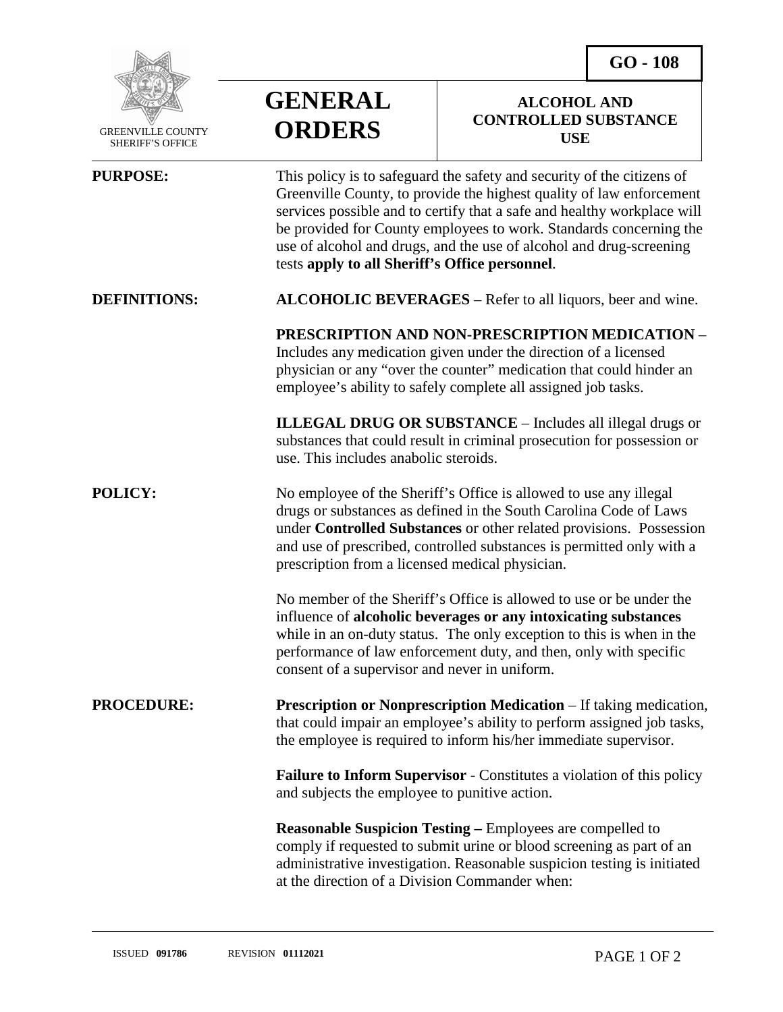**ALCOHOL AND CONTROLLED SUBSTANCE** 



 GREENVILLE COUNTY S<sub>H</sub>

## **GENERAL ORDERS**

| <b>GREENVILLE COUNTY</b><br><b>SHERIFF'S OFFICE</b> | UKDEKS                                                                                                                                                                                                                                                                                                                                                                                                                   | <b>USE</b> |
|-----------------------------------------------------|--------------------------------------------------------------------------------------------------------------------------------------------------------------------------------------------------------------------------------------------------------------------------------------------------------------------------------------------------------------------------------------------------------------------------|------------|
| <b>PURPOSE:</b>                                     | This policy is to safeguard the safety and security of the citizens of<br>Greenville County, to provide the highest quality of law enforcement<br>services possible and to certify that a safe and healthy workplace will<br>be provided for County employees to work. Standards concerning the<br>use of alcohol and drugs, and the use of alcohol and drug-screening<br>tests apply to all Sheriff's Office personnel. |            |
| <b>DEFINITIONS:</b>                                 | ALCOHOLIC BEVERAGES - Refer to all liquors, beer and wine.                                                                                                                                                                                                                                                                                                                                                               |            |
|                                                     | PRESCRIPTION AND NON-PRESCRIPTION MEDICATION -<br>Includes any medication given under the direction of a licensed<br>physician or any "over the counter" medication that could hinder an<br>employee's ability to safely complete all assigned job tasks.                                                                                                                                                                |            |
|                                                     | <b>ILLEGAL DRUG OR SUBSTANCE - Includes all illegal drugs or</b><br>substances that could result in criminal prosecution for possession or<br>use. This includes anabolic steroids.                                                                                                                                                                                                                                      |            |
| <b>POLICY:</b>                                      | No employee of the Sheriff's Office is allowed to use any illegal<br>drugs or substances as defined in the South Carolina Code of Laws<br>under Controlled Substances or other related provisions. Possession<br>and use of prescribed, controlled substances is permitted only with a<br>prescription from a licensed medical physician.                                                                                |            |
|                                                     | No member of the Sheriff's Office is allowed to use or be under the<br>influence of alcoholic beverages or any intoxicating substances<br>while in an on-duty status. The only exception to this is when in the<br>performance of law enforcement duty, and then, only with specific<br>consent of a supervisor and never in uniform.                                                                                    |            |
| <b>PROCEDURE:</b>                                   | Prescription or Nonprescription Medication - If taking medication,<br>that could impair an employee's ability to perform assigned job tasks,<br>the employee is required to inform his/her immediate supervisor.                                                                                                                                                                                                         |            |
|                                                     | <b>Failure to Inform Supervisor - Constitutes a violation of this policy</b><br>and subjects the employee to punitive action.                                                                                                                                                                                                                                                                                            |            |
|                                                     | <b>Reasonable Suspicion Testing – Employees are compelled to</b><br>comply if requested to submit urine or blood screening as part of an<br>administrative investigation. Reasonable suspicion testing is initiated<br>at the direction of a Division Commander when:                                                                                                                                                    |            |